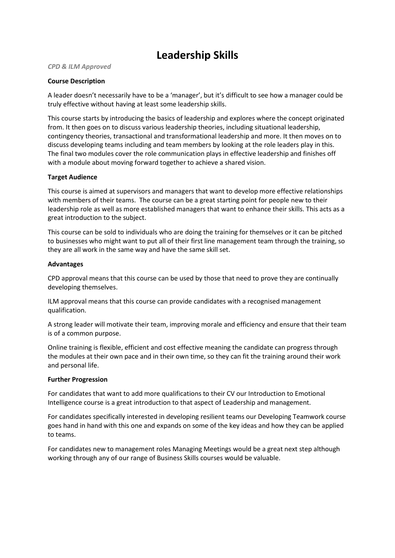# **Leadership Skills**

*CPD & ILM Approved*

### **Course Description**

A leader doesn't necessarily have to be a 'manager', but it's difficult to see how a manager could be truly effective without having at least some leadership skills.

This course starts by introducing the basics of leadership and explores where the concept originated from. It then goes on to discuss various leadership theories, including situational leadership, contingency theories, transactional and transformational leadership and more. It then moves on to discuss developing teams including and team members by looking at the role leaders play in this. The final two modules cover the role communication plays in effective leadership and finishes off with a module about moving forward together to achieve a shared vision.

# **Target Audience**

This course is aimed at supervisors and managers that want to develop more effective relationships with members of their teams. The course can be a great starting point for people new to their leadership role as well as more established managers that want to enhance their skills. This acts as a great introduction to the subject.

This course can be sold to individuals who are doing the training for themselves or it can be pitched to businesses who might want to put all of their first line management team through the training, so they are all work in the same way and have the same skill set.

# **Advantages**

CPD approval means that this course can be used by those that need to prove they are continually developing themselves.

ILM approval means that this course can provide candidates with a recognised management qualification.

A strong leader will motivate their team, improving morale and efficiency and ensure that their team is of a common purpose.

Online training is flexible, efficient and cost effective meaning the candidate can progress through the modules at their own pace and in their own time, so they can fit the training around their work and personal life.

#### **Further Progression**

For candidates that want to add more qualifications to their CV our Introduction to Emotional Intelligence course is a great introduction to that aspect of Leadership and management.

For candidates specifically interested in developing resilient teams our Developing Teamwork course goes hand in hand with this one and expands on some of the key ideas and how they can be applied to teams.

For candidates new to management roles Managing Meetings would be a great next step although working through any of our range of Business Skills courses would be valuable.